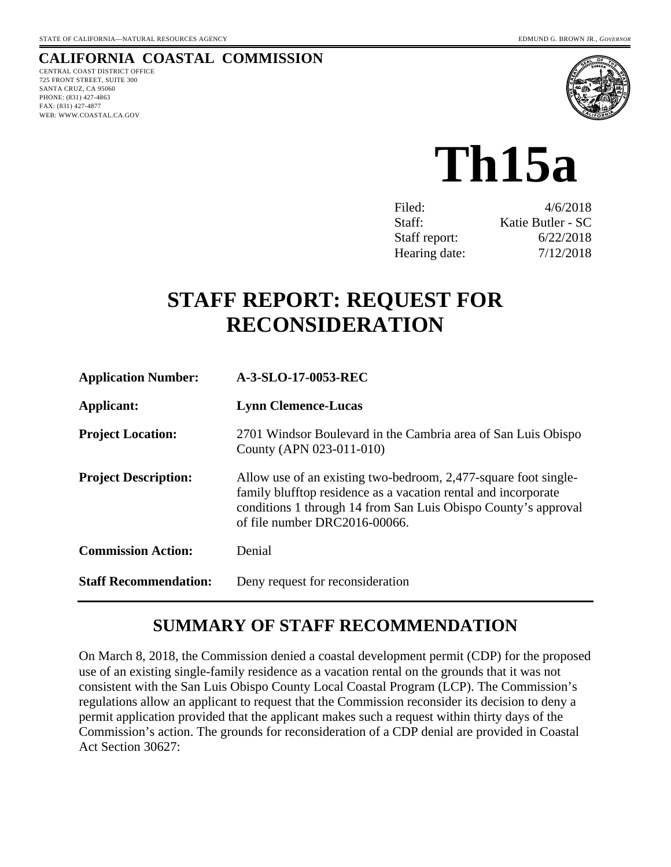# **CALIFORNIA COASTAL COMMISSION**

CENTRAL COAST DISTRICT OFFICE 725 FRONT STREET, SUITE 300 SANTA CRUZ, CA 95060 PHONE: (831) 427-4863 FAX: (831) 427-4877 WEB: WWW.COASTAL.CA.GOV



# **Th15a**

| Filed:        | 4/6/2018          |
|---------------|-------------------|
| Staff:        | Katie Butler - SC |
| Staff report: | 6/22/2018         |
| Hearing date: | 7/12/2018         |

# **STAFF REPORT: REQUEST FOR RECONSIDERATION**

| <b>Application Number:</b>   | A-3-SLO-17-0053-REC                                                                                                                                                                                                                  |
|------------------------------|--------------------------------------------------------------------------------------------------------------------------------------------------------------------------------------------------------------------------------------|
| Applicant:                   | <b>Lynn Clemence-Lucas</b>                                                                                                                                                                                                           |
| <b>Project Location:</b>     | 2701 Windsor Boulevard in the Cambria area of San Luis Obispo<br>County (APN 023-011-010)                                                                                                                                            |
| <b>Project Description:</b>  | Allow use of an existing two-bedroom, 2,477-square foot single-<br>family blufftop residence as a vacation rental and incorporate<br>conditions 1 through 14 from San Luis Obispo County's approval<br>of file number DRC2016-00066. |
| <b>Commission Action:</b>    | Denial                                                                                                                                                                                                                               |
| <b>Staff Recommendation:</b> | Deny request for reconsideration                                                                                                                                                                                                     |

# **SUMMARY OF STAFF RECOMMENDATION**

On March 8, 2018, the Commission denied a coastal development permit (CDP) for the proposed use of an existing single-family residence as a vacation rental on the grounds that it was not consistent with the San Luis Obispo County Local Coastal Program (LCP). The Commission's regulations allow an applicant to request that the Commission reconsider its decision to deny a permit application provided that the applicant makes such a request within thirty days of the Commission's action. The grounds for reconsideration of a CDP denial are provided in Coastal Act Section 30627: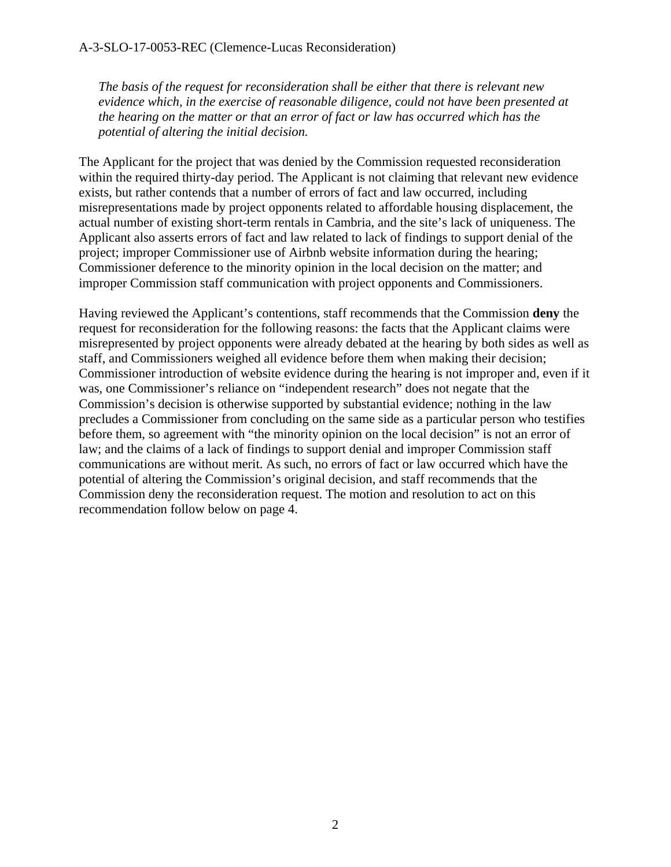*The basis of the request for reconsideration shall be either that there is relevant new evidence which, in the exercise of reasonable diligence, could not have been presented at the hearing on the matter or that an error of fact or law has occurred which has the potential of altering the initial decision.*

The Applicant for the project that was denied by the Commission requested reconsideration within the required thirty-day period. The Applicant is not claiming that relevant new evidence exists, but rather contends that a number of errors of fact and law occurred, including misrepresentations made by project opponents related to affordable housing displacement, the actual number of existing short-term rentals in Cambria, and the site's lack of uniqueness. The Applicant also asserts errors of fact and law related to lack of findings to support denial of the project; improper Commissioner use of Airbnb website information during the hearing; Commissioner deference to the minority opinion in the local decision on the matter; and improper Commission staff communication with project opponents and Commissioners.

Having reviewed the Applicant's contentions, staff recommends that the Commission **deny** the request for reconsideration for the following reasons: the facts that the Applicant claims were misrepresented by project opponents were already debated at the hearing by both sides as well as staff, and Commissioners weighed all evidence before them when making their decision; Commissioner introduction of website evidence during the hearing is not improper and, even if it was, one Commissioner's reliance on "independent research" does not negate that the Commission's decision is otherwise supported by substantial evidence; nothing in the law precludes a Commissioner from concluding on the same side as a particular person who testifies before them, so agreement with "the minority opinion on the local decision" is not an error of law; and the claims of a lack of findings to support denial and improper Commission staff communications are without merit. As such, no errors of fact or law occurred which have the potential of altering the Commission's original decision, and staff recommends that the Commission deny the reconsideration request. The motion and resolution to act on this recommendation follow below on page 4.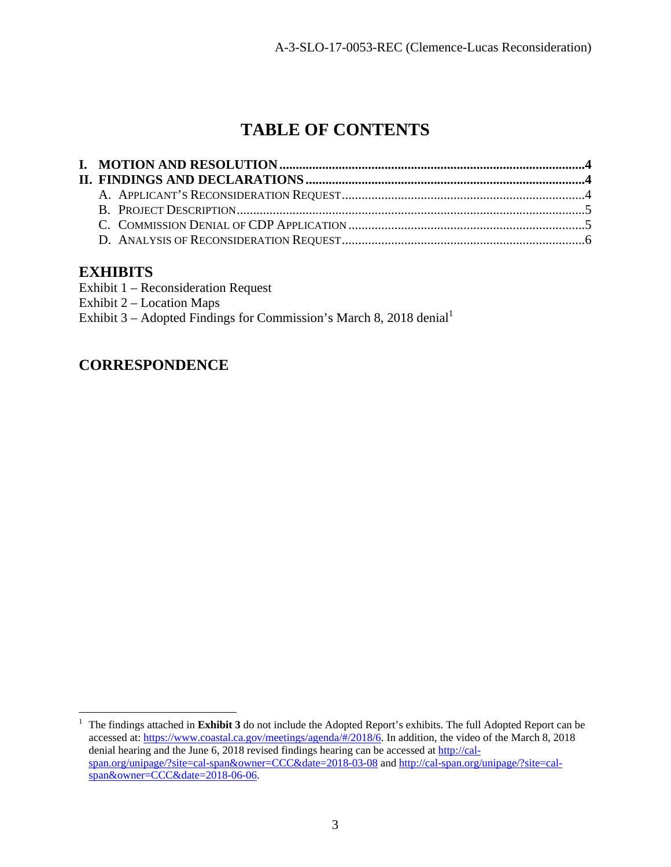# **TABLE OF CONTENTS**

# **EXHIBITS**

- Exhibit 1 Reconsideration Request
- Exhibit 2 Location Maps

Exhibit 3 – Adopted Findings for Commission's March 8, 2018 denial<sup>1</sup>

# **CORRESPONDENCE**

 $\frac{1}{1}$  The findings attached in **Exhibit 3** do not include the Adopted Report's exhibits. The full Adopted Report can be accessed at: https://www.coastal.ca.gov/meetings/agenda/#/2018/6. In addition, the video of the March 8, 2018 denial hearing and the June 6, 2018 revised findings hearing can be accessed at http://calspan.org/unipage/?site=cal-span&owner=CCC&date=2018-03-08 and http://cal-span.org/unipage/?site=calspan&owner=CCC&date=2018-06-06.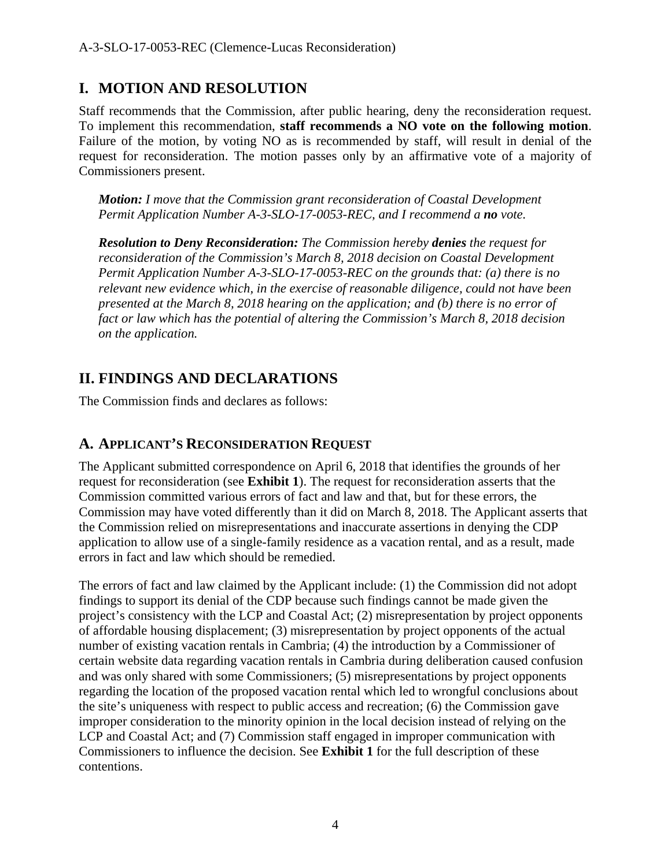# **I. MOTION AND RESOLUTION**

Staff recommends that the Commission, after public hearing, deny the reconsideration request. To implement this recommendation, **staff recommends a NO vote on the following motion**. Failure of the motion, by voting NO as is recommended by staff, will result in denial of the request for reconsideration. The motion passes only by an affirmative vote of a majority of Commissioners present.

*Motion: I move that the Commission grant reconsideration of Coastal Development Permit Application Number A-3-SLO-17-0053-REC, and I recommend a no vote.*

*Resolution to Deny Reconsideration: The Commission hereby denies the request for reconsideration of the Commission's March 8, 2018 decision on Coastal Development Permit Application Number A-3-SLO-17-0053-REC on the grounds that: (a) there is no relevant new evidence which, in the exercise of reasonable diligence, could not have been presented at the March 8, 2018 hearing on the application; and (b) there is no error of fact or law which has the potential of altering the Commission's March 8, 2018 decision on the application.*

# **II. FINDINGS AND DECLARATIONS**

The Commission finds and declares as follows:

# **A. APPLICANT'S RECONSIDERATION REQUEST**

The Applicant submitted correspondence on April 6, 2018 that identifies the grounds of her request for reconsideration (see **Exhibit 1**). The request for reconsideration asserts that the Commission committed various errors of fact and law and that, but for these errors, the Commission may have voted differently than it did on March 8, 2018. The Applicant asserts that the Commission relied on misrepresentations and inaccurate assertions in denying the CDP application to allow use of a single-family residence as a vacation rental, and as a result, made errors in fact and law which should be remedied.

The errors of fact and law claimed by the Applicant include: (1) the Commission did not adopt findings to support its denial of the CDP because such findings cannot be made given the project's consistency with the LCP and Coastal Act; (2) misrepresentation by project opponents of affordable housing displacement; (3) misrepresentation by project opponents of the actual number of existing vacation rentals in Cambria; (4) the introduction by a Commissioner of certain website data regarding vacation rentals in Cambria during deliberation caused confusion and was only shared with some Commissioners; (5) misrepresentations by project opponents regarding the location of the proposed vacation rental which led to wrongful conclusions about the site's uniqueness with respect to public access and recreation; (6) the Commission gave improper consideration to the minority opinion in the local decision instead of relying on the LCP and Coastal Act; and (7) Commission staff engaged in improper communication with Commissioners to influence the decision. See **Exhibit 1** for the full description of these contentions.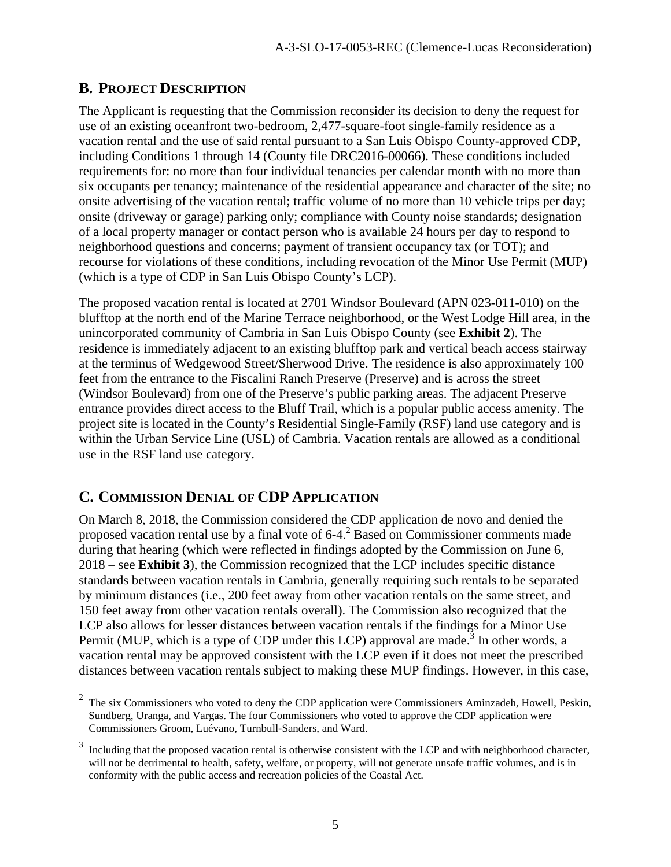# **B. PROJECT DESCRIPTION**

The Applicant is requesting that the Commission reconsider its decision to deny the request for use of an existing oceanfront two-bedroom, 2,477-square-foot single-family residence as a vacation rental and the use of said rental pursuant to a San Luis Obispo County-approved CDP, including Conditions 1 through 14 (County file DRC2016-00066). These conditions included requirements for: no more than four individual tenancies per calendar month with no more than six occupants per tenancy; maintenance of the residential appearance and character of the site; no onsite advertising of the vacation rental; traffic volume of no more than 10 vehicle trips per day; onsite (driveway or garage) parking only; compliance with County noise standards; designation of a local property manager or contact person who is available 24 hours per day to respond to neighborhood questions and concerns; payment of transient occupancy tax (or TOT); and recourse for violations of these conditions, including revocation of the Minor Use Permit (MUP) (which is a type of CDP in San Luis Obispo County's LCP).

The proposed vacation rental is located at 2701 Windsor Boulevard (APN 023-011-010) on the blufftop at the north end of the Marine Terrace neighborhood, or the West Lodge Hill area, in the unincorporated community of Cambria in San Luis Obispo County (see **Exhibit 2**). The residence is immediately adjacent to an existing blufftop park and vertical beach access stairway at the terminus of Wedgewood Street/Sherwood Drive. The residence is also approximately 100 feet from the entrance to the Fiscalini Ranch Preserve (Preserve) and is across the street (Windsor Boulevard) from one of the Preserve's public parking areas. The adjacent Preserve entrance provides direct access to the Bluff Trail, which is a popular public access amenity. The project site is located in the County's Residential Single-Family (RSF) land use category and is within the Urban Service Line (USL) of Cambria. Vacation rentals are allowed as a conditional use in the RSF land use category.

# **C. COMMISSION DENIAL OF CDP APPLICATION**

On March 8, 2018, the Commission considered the CDP application de novo and denied the proposed vacation rental use by a final vote of  $6-4$ .<sup>2</sup> Based on Commissioner comments made during that hearing (which were reflected in findings adopted by the Commission on June 6, 2018 – see **Exhibit 3**), the Commission recognized that the LCP includes specific distance standards between vacation rentals in Cambria, generally requiring such rentals to be separated by minimum distances (i.e., 200 feet away from other vacation rentals on the same street, and 150 feet away from other vacation rentals overall). The Commission also recognized that the LCP also allows for lesser distances between vacation rentals if the findings for a Minor Use Permit (MUP, which is a type of CDP under this LCP) approval are made.<sup>3</sup> In other words, a vacation rental may be approved consistent with the LCP even if it does not meet the prescribed distances between vacation rentals subject to making these MUP findings. However, in this case,

 $\frac{1}{2}$  The six Commissioners who voted to deny the CDP application were Commissioners Aminzadeh, Howell, Peskin, Sundberg, Uranga, and Vargas. The four Commissioners who voted to approve the CDP application were Commissioners Groom, Luévano, Turnbull-Sanders, and Ward.

<sup>3</sup> Including that the proposed vacation rental is otherwise consistent with the LCP and with neighborhood character, will not be detrimental to health, safety, welfare, or property, will not generate unsafe traffic volumes, and is in conformity with the public access and recreation policies of the Coastal Act.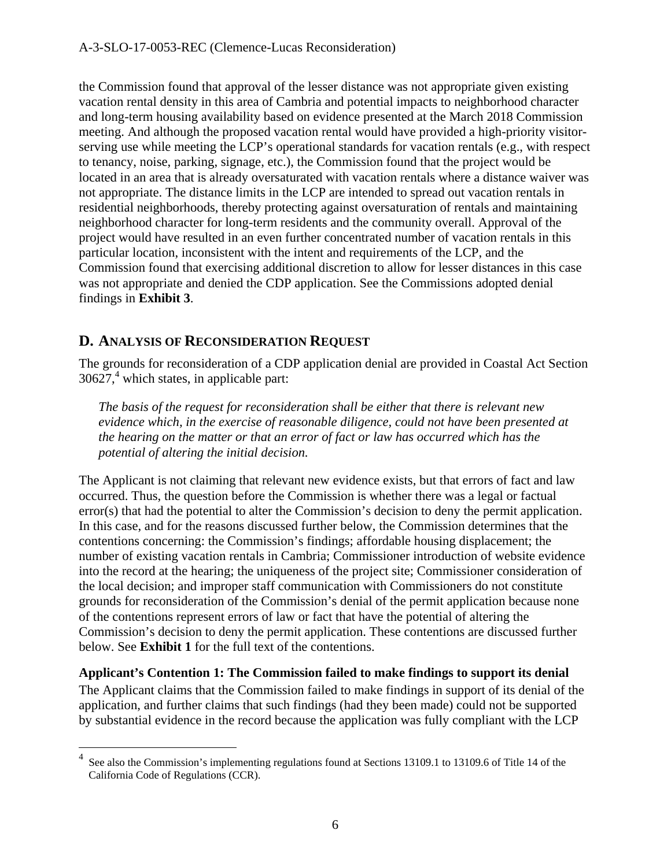the Commission found that approval of the lesser distance was not appropriate given existing vacation rental density in this area of Cambria and potential impacts to neighborhood character and long-term housing availability based on evidence presented at the March 2018 Commission meeting. And although the proposed vacation rental would have provided a high-priority visitorserving use while meeting the LCP's operational standards for vacation rentals (e.g., with respect to tenancy, noise, parking, signage, etc.), the Commission found that the project would be located in an area that is already oversaturated with vacation rentals where a distance waiver was not appropriate. The distance limits in the LCP are intended to spread out vacation rentals in residential neighborhoods, thereby protecting against oversaturation of rentals and maintaining neighborhood character for long-term residents and the community overall. Approval of the project would have resulted in an even further concentrated number of vacation rentals in this particular location, inconsistent with the intent and requirements of the LCP, and the Commission found that exercising additional discretion to allow for lesser distances in this case was not appropriate and denied the CDP application. See the Commissions adopted denial findings in **Exhibit 3**.

# **D. ANALYSIS OF RECONSIDERATION REQUEST**

 $\overline{a}$ 

The grounds for reconsideration of a CDP application denial are provided in Coastal Act Section  $30627<sup>4</sup>$  which states, in applicable part:

*The basis of the request for reconsideration shall be either that there is relevant new evidence which, in the exercise of reasonable diligence, could not have been presented at the hearing on the matter or that an error of fact or law has occurred which has the potential of altering the initial decision.* 

The Applicant is not claiming that relevant new evidence exists, but that errors of fact and law occurred. Thus, the question before the Commission is whether there was a legal or factual error(s) that had the potential to alter the Commission's decision to deny the permit application. In this case, and for the reasons discussed further below, the Commission determines that the contentions concerning: the Commission's findings; affordable housing displacement; the number of existing vacation rentals in Cambria; Commissioner introduction of website evidence into the record at the hearing; the uniqueness of the project site; Commissioner consideration of the local decision; and improper staff communication with Commissioners do not constitute grounds for reconsideration of the Commission's denial of the permit application because none of the contentions represent errors of law or fact that have the potential of altering the Commission's decision to deny the permit application. These contentions are discussed further below. See **Exhibit 1** for the full text of the contentions.

**Applicant's Contention 1: The Commission failed to make findings to support its denial**  The Applicant claims that the Commission failed to make findings in support of its denial of the application, and further claims that such findings (had they been made) could not be supported by substantial evidence in the record because the application was fully compliant with the LCP

<sup>&</sup>lt;sup>4</sup> See also the Commission's implementing regulations found at Sections 13109.1 to 13109.6 of Title 14 of the California Code of Regulations (CCR).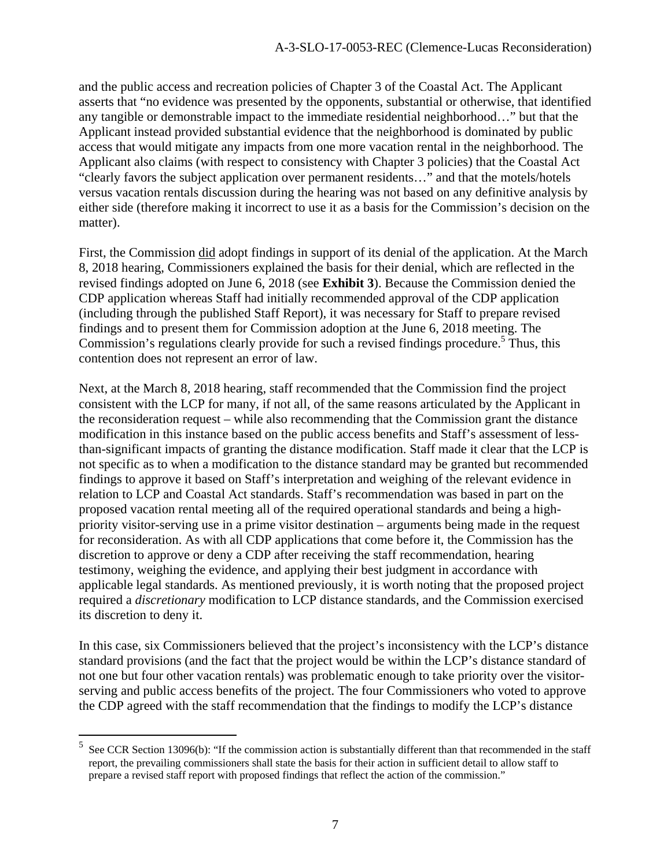and the public access and recreation policies of Chapter 3 of the Coastal Act. The Applicant asserts that "no evidence was presented by the opponents, substantial or otherwise, that identified any tangible or demonstrable impact to the immediate residential neighborhood…" but that the Applicant instead provided substantial evidence that the neighborhood is dominated by public access that would mitigate any impacts from one more vacation rental in the neighborhood. The Applicant also claims (with respect to consistency with Chapter 3 policies) that the Coastal Act "clearly favors the subject application over permanent residents…" and that the motels/hotels versus vacation rentals discussion during the hearing was not based on any definitive analysis by either side (therefore making it incorrect to use it as a basis for the Commission's decision on the matter).

First, the Commission did adopt findings in support of its denial of the application. At the March 8, 2018 hearing, Commissioners explained the basis for their denial, which are reflected in the revised findings adopted on June 6, 2018 (see **Exhibit 3**). Because the Commission denied the CDP application whereas Staff had initially recommended approval of the CDP application (including through the published Staff Report), it was necessary for Staff to prepare revised findings and to present them for Commission adoption at the June 6, 2018 meeting. The Commission's regulations clearly provide for such a revised findings procedure.<sup>5</sup> Thus, this contention does not represent an error of law.

Next, at the March 8, 2018 hearing, staff recommended that the Commission find the project consistent with the LCP for many, if not all, of the same reasons articulated by the Applicant in the reconsideration request – while also recommending that the Commission grant the distance modification in this instance based on the public access benefits and Staff's assessment of lessthan-significant impacts of granting the distance modification. Staff made it clear that the LCP is not specific as to when a modification to the distance standard may be granted but recommended findings to approve it based on Staff's interpretation and weighing of the relevant evidence in relation to LCP and Coastal Act standards. Staff's recommendation was based in part on the proposed vacation rental meeting all of the required operational standards and being a highpriority visitor-serving use in a prime visitor destination – arguments being made in the request for reconsideration. As with all CDP applications that come before it, the Commission has the discretion to approve or deny a CDP after receiving the staff recommendation, hearing testimony, weighing the evidence, and applying their best judgment in accordance with applicable legal standards. As mentioned previously, it is worth noting that the proposed project required a *discretionary* modification to LCP distance standards, and the Commission exercised its discretion to deny it.

In this case, six Commissioners believed that the project's inconsistency with the LCP's distance standard provisions (and the fact that the project would be within the LCP's distance standard of not one but four other vacation rentals) was problematic enough to take priority over the visitorserving and public access benefits of the project. The four Commissioners who voted to approve the CDP agreed with the staff recommendation that the findings to modify the LCP's distance

 $\overline{a}$ 

<sup>5</sup> See CCR Section 13096(b): "If the commission action is substantially different than that recommended in the staff report, the prevailing commissioners shall state the basis for their action in sufficient detail to allow staff to prepare a revised staff report with proposed findings that reflect the action of the commission."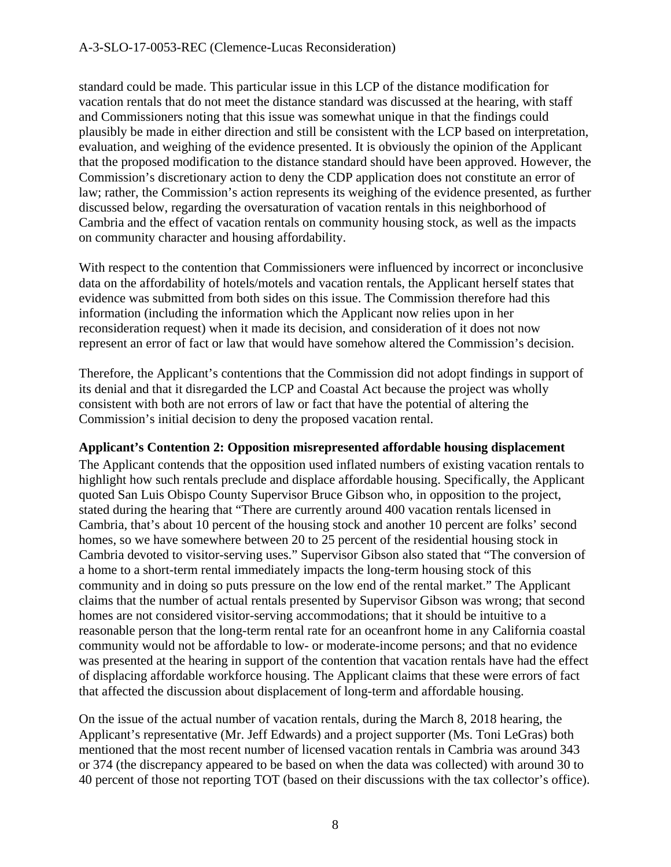#### A-3-SLO-17-0053-REC (Clemence-Lucas Reconsideration)

standard could be made. This particular issue in this LCP of the distance modification for vacation rentals that do not meet the distance standard was discussed at the hearing, with staff and Commissioners noting that this issue was somewhat unique in that the findings could plausibly be made in either direction and still be consistent with the LCP based on interpretation, evaluation, and weighing of the evidence presented. It is obviously the opinion of the Applicant that the proposed modification to the distance standard should have been approved. However, the Commission's discretionary action to deny the CDP application does not constitute an error of law; rather, the Commission's action represents its weighing of the evidence presented, as further discussed below, regarding the oversaturation of vacation rentals in this neighborhood of Cambria and the effect of vacation rentals on community housing stock, as well as the impacts on community character and housing affordability.

With respect to the contention that Commissioners were influenced by incorrect or inconclusive data on the affordability of hotels/motels and vacation rentals, the Applicant herself states that evidence was submitted from both sides on this issue. The Commission therefore had this information (including the information which the Applicant now relies upon in her reconsideration request) when it made its decision, and consideration of it does not now represent an error of fact or law that would have somehow altered the Commission's decision.

Therefore, the Applicant's contentions that the Commission did not adopt findings in support of its denial and that it disregarded the LCP and Coastal Act because the project was wholly consistent with both are not errors of law or fact that have the potential of altering the Commission's initial decision to deny the proposed vacation rental.

#### **Applicant's Contention 2: Opposition misrepresented affordable housing displacement**

The Applicant contends that the opposition used inflated numbers of existing vacation rentals to highlight how such rentals preclude and displace affordable housing. Specifically, the Applicant quoted San Luis Obispo County Supervisor Bruce Gibson who, in opposition to the project, stated during the hearing that "There are currently around 400 vacation rentals licensed in Cambria, that's about 10 percent of the housing stock and another 10 percent are folks' second homes, so we have somewhere between 20 to 25 percent of the residential housing stock in Cambria devoted to visitor-serving uses." Supervisor Gibson also stated that "The conversion of a home to a short-term rental immediately impacts the long-term housing stock of this community and in doing so puts pressure on the low end of the rental market." The Applicant claims that the number of actual rentals presented by Supervisor Gibson was wrong; that second homes are not considered visitor-serving accommodations; that it should be intuitive to a reasonable person that the long-term rental rate for an oceanfront home in any California coastal community would not be affordable to low- or moderate-income persons; and that no evidence was presented at the hearing in support of the contention that vacation rentals have had the effect of displacing affordable workforce housing. The Applicant claims that these were errors of fact that affected the discussion about displacement of long-term and affordable housing.

On the issue of the actual number of vacation rentals, during the March 8, 2018 hearing, the Applicant's representative (Mr. Jeff Edwards) and a project supporter (Ms. Toni LeGras) both mentioned that the most recent number of licensed vacation rentals in Cambria was around 343 or 374 (the discrepancy appeared to be based on when the data was collected) with around 30 to 40 percent of those not reporting TOT (based on their discussions with the tax collector's office).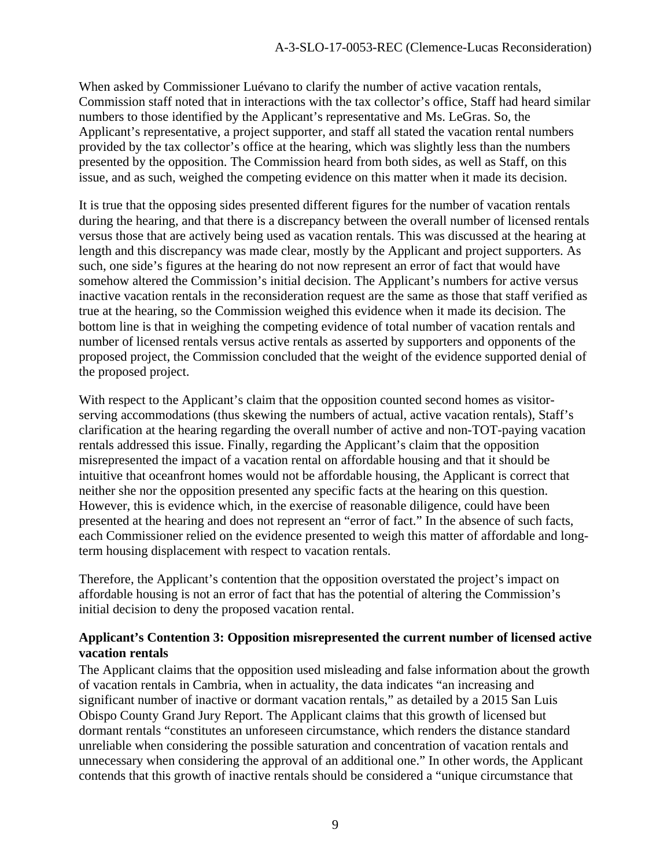When asked by Commissioner Luévano to clarify the number of active vacation rentals, Commission staff noted that in interactions with the tax collector's office, Staff had heard similar numbers to those identified by the Applicant's representative and Ms. LeGras. So, the Applicant's representative, a project supporter, and staff all stated the vacation rental numbers provided by the tax collector's office at the hearing, which was slightly less than the numbers presented by the opposition. The Commission heard from both sides, as well as Staff, on this issue, and as such, weighed the competing evidence on this matter when it made its decision.

It is true that the opposing sides presented different figures for the number of vacation rentals during the hearing, and that there is a discrepancy between the overall number of licensed rentals versus those that are actively being used as vacation rentals. This was discussed at the hearing at length and this discrepancy was made clear, mostly by the Applicant and project supporters. As such, one side's figures at the hearing do not now represent an error of fact that would have somehow altered the Commission's initial decision. The Applicant's numbers for active versus inactive vacation rentals in the reconsideration request are the same as those that staff verified as true at the hearing, so the Commission weighed this evidence when it made its decision. The bottom line is that in weighing the competing evidence of total number of vacation rentals and number of licensed rentals versus active rentals as asserted by supporters and opponents of the proposed project, the Commission concluded that the weight of the evidence supported denial of the proposed project.

With respect to the Applicant's claim that the opposition counted second homes as visitorserving accommodations (thus skewing the numbers of actual, active vacation rentals), Staff's clarification at the hearing regarding the overall number of active and non-TOT-paying vacation rentals addressed this issue. Finally, regarding the Applicant's claim that the opposition misrepresented the impact of a vacation rental on affordable housing and that it should be intuitive that oceanfront homes would not be affordable housing, the Applicant is correct that neither she nor the opposition presented any specific facts at the hearing on this question. However, this is evidence which, in the exercise of reasonable diligence, could have been presented at the hearing and does not represent an "error of fact." In the absence of such facts, each Commissioner relied on the evidence presented to weigh this matter of affordable and longterm housing displacement with respect to vacation rentals.

Therefore, the Applicant's contention that the opposition overstated the project's impact on affordable housing is not an error of fact that has the potential of altering the Commission's initial decision to deny the proposed vacation rental.

#### **Applicant's Contention 3: Opposition misrepresented the current number of licensed active vacation rentals**

The Applicant claims that the opposition used misleading and false information about the growth of vacation rentals in Cambria, when in actuality, the data indicates "an increasing and significant number of inactive or dormant vacation rentals," as detailed by a 2015 San Luis Obispo County Grand Jury Report. The Applicant claims that this growth of licensed but dormant rentals "constitutes an unforeseen circumstance, which renders the distance standard unreliable when considering the possible saturation and concentration of vacation rentals and unnecessary when considering the approval of an additional one." In other words, the Applicant contends that this growth of inactive rentals should be considered a "unique circumstance that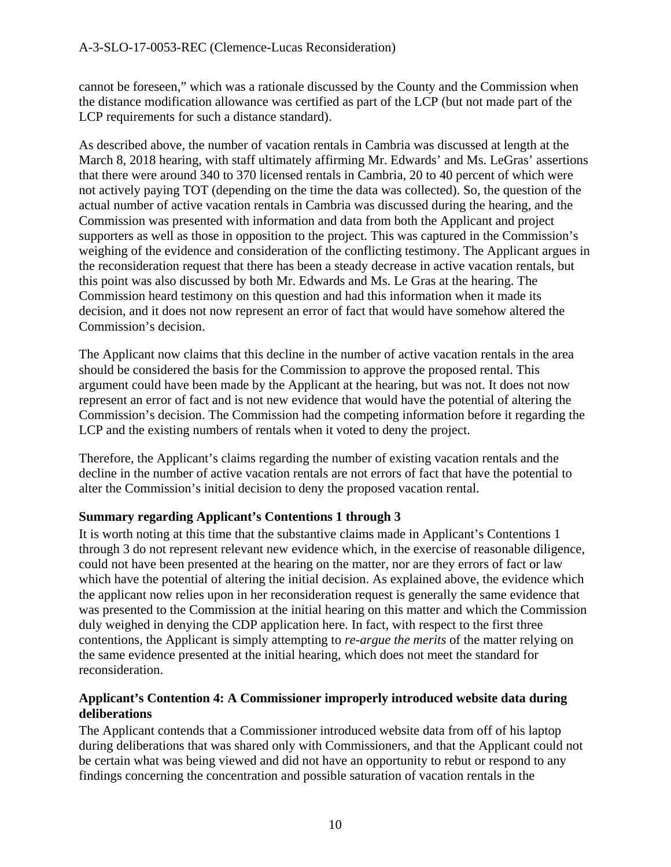cannot be foreseen," which was a rationale discussed by the County and the Commission when the distance modification allowance was certified as part of the LCP (but not made part of the LCP requirements for such a distance standard).

As described above, the number of vacation rentals in Cambria was discussed at length at the March 8, 2018 hearing, with staff ultimately affirming Mr. Edwards' and Ms. LeGras' assertions that there were around 340 to 370 licensed rentals in Cambria, 20 to 40 percent of which were not actively paying TOT (depending on the time the data was collected). So, the question of the actual number of active vacation rentals in Cambria was discussed during the hearing, and the Commission was presented with information and data from both the Applicant and project supporters as well as those in opposition to the project. This was captured in the Commission's weighing of the evidence and consideration of the conflicting testimony. The Applicant argues in the reconsideration request that there has been a steady decrease in active vacation rentals, but this point was also discussed by both Mr. Edwards and Ms. Le Gras at the hearing. The Commission heard testimony on this question and had this information when it made its decision, and it does not now represent an error of fact that would have somehow altered the Commission's decision.

The Applicant now claims that this decline in the number of active vacation rentals in the area should be considered the basis for the Commission to approve the proposed rental. This argument could have been made by the Applicant at the hearing, but was not. It does not now represent an error of fact and is not new evidence that would have the potential of altering the Commission's decision. The Commission had the competing information before it regarding the LCP and the existing numbers of rentals when it voted to deny the project.

Therefore, the Applicant's claims regarding the number of existing vacation rentals and the decline in the number of active vacation rentals are not errors of fact that have the potential to alter the Commission's initial decision to deny the proposed vacation rental.

#### **Summary regarding Applicant's Contentions 1 through 3**

It is worth noting at this time that the substantive claims made in Applicant's Contentions 1 through 3 do not represent relevant new evidence which, in the exercise of reasonable diligence, could not have been presented at the hearing on the matter, nor are they errors of fact or law which have the potential of altering the initial decision. As explained above, the evidence which the applicant now relies upon in her reconsideration request is generally the same evidence that was presented to the Commission at the initial hearing on this matter and which the Commission duly weighed in denying the CDP application here. In fact, with respect to the first three contentions, the Applicant is simply attempting to *re-argue the merits* of the matter relying on the same evidence presented at the initial hearing, which does not meet the standard for reconsideration.

#### **Applicant's Contention 4: A Commissioner improperly introduced website data during deliberations**

The Applicant contends that a Commissioner introduced website data from off of his laptop during deliberations that was shared only with Commissioners, and that the Applicant could not be certain what was being viewed and did not have an opportunity to rebut or respond to any findings concerning the concentration and possible saturation of vacation rentals in the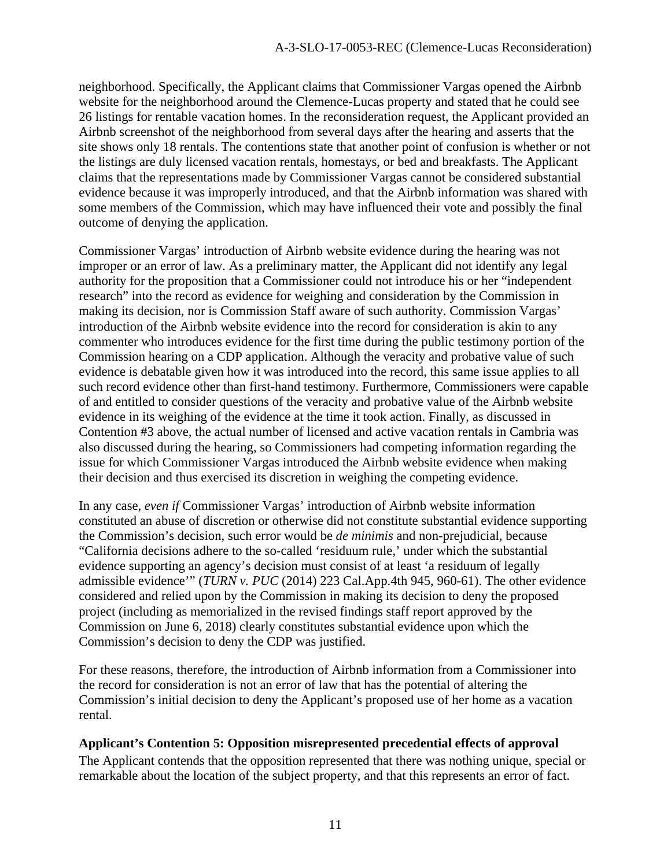neighborhood. Specifically, the Applicant claims that Commissioner Vargas opened the Airbnb website for the neighborhood around the Clemence-Lucas property and stated that he could see 26 listings for rentable vacation homes. In the reconsideration request, the Applicant provided an Airbnb screenshot of the neighborhood from several days after the hearing and asserts that the site shows only 18 rentals. The contentions state that another point of confusion is whether or not the listings are duly licensed vacation rentals, homestays, or bed and breakfasts. The Applicant claims that the representations made by Commissioner Vargas cannot be considered substantial evidence because it was improperly introduced, and that the Airbnb information was shared with some members of the Commission, which may have influenced their vote and possibly the final outcome of denying the application.

Commissioner Vargas' introduction of Airbnb website evidence during the hearing was not improper or an error of law. As a preliminary matter, the Applicant did not identify any legal authority for the proposition that a Commissioner could not introduce his or her "independent research" into the record as evidence for weighing and consideration by the Commission in making its decision, nor is Commission Staff aware of such authority. Commission Vargas' introduction of the Airbnb website evidence into the record for consideration is akin to any commenter who introduces evidence for the first time during the public testimony portion of the Commission hearing on a CDP application. Although the veracity and probative value of such evidence is debatable given how it was introduced into the record, this same issue applies to all such record evidence other than first-hand testimony. Furthermore, Commissioners were capable of and entitled to consider questions of the veracity and probative value of the Airbnb website evidence in its weighing of the evidence at the time it took action. Finally, as discussed in Contention #3 above, the actual number of licensed and active vacation rentals in Cambria was also discussed during the hearing, so Commissioners had competing information regarding the issue for which Commissioner Vargas introduced the Airbnb website evidence when making their decision and thus exercised its discretion in weighing the competing evidence.

In any case, *even if* Commissioner Vargas' introduction of Airbnb website information constituted an abuse of discretion or otherwise did not constitute substantial evidence supporting the Commission's decision, such error would be *de minimis* and non-prejudicial, because "California decisions adhere to the so-called 'residuum rule,' under which the substantial evidence supporting an agency's decision must consist of at least 'a residuum of legally admissible evidence'" (*TURN v. PUC* (2014) 223 Cal.App.4th 945, 960-61). The other evidence considered and relied upon by the Commission in making its decision to deny the proposed project (including as memorialized in the revised findings staff report approved by the Commission on June 6, 2018) clearly constitutes substantial evidence upon which the Commission's decision to deny the CDP was justified.

For these reasons, therefore, the introduction of Airbnb information from a Commissioner into the record for consideration is not an error of law that has the potential of altering the Commission's initial decision to deny the Applicant's proposed use of her home as a vacation rental.

#### **Applicant's Contention 5: Opposition misrepresented precedential effects of approval**

The Applicant contends that the opposition represented that there was nothing unique, special or remarkable about the location of the subject property, and that this represents an error of fact.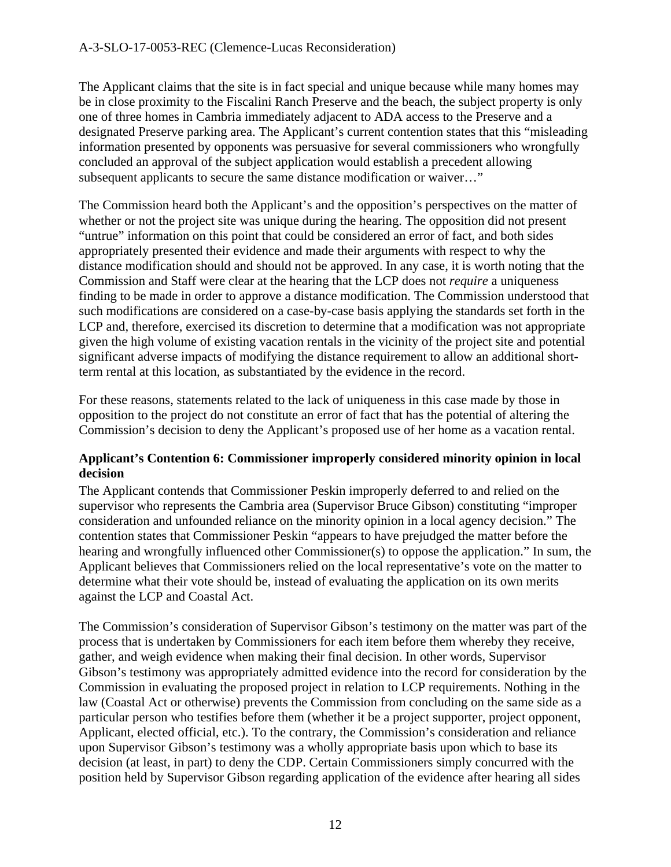The Applicant claims that the site is in fact special and unique because while many homes may be in close proximity to the Fiscalini Ranch Preserve and the beach, the subject property is only one of three homes in Cambria immediately adjacent to ADA access to the Preserve and a designated Preserve parking area. The Applicant's current contention states that this "misleading information presented by opponents was persuasive for several commissioners who wrongfully concluded an approval of the subject application would establish a precedent allowing subsequent applicants to secure the same distance modification or waiver…"

The Commission heard both the Applicant's and the opposition's perspectives on the matter of whether or not the project site was unique during the hearing. The opposition did not present "untrue" information on this point that could be considered an error of fact, and both sides appropriately presented their evidence and made their arguments with respect to why the distance modification should and should not be approved. In any case, it is worth noting that the Commission and Staff were clear at the hearing that the LCP does not *require* a uniqueness finding to be made in order to approve a distance modification. The Commission understood that such modifications are considered on a case-by-case basis applying the standards set forth in the LCP and, therefore, exercised its discretion to determine that a modification was not appropriate given the high volume of existing vacation rentals in the vicinity of the project site and potential significant adverse impacts of modifying the distance requirement to allow an additional shortterm rental at this location, as substantiated by the evidence in the record.

For these reasons, statements related to the lack of uniqueness in this case made by those in opposition to the project do not constitute an error of fact that has the potential of altering the Commission's decision to deny the Applicant's proposed use of her home as a vacation rental.

#### **Applicant's Contention 6: Commissioner improperly considered minority opinion in local decision**

The Applicant contends that Commissioner Peskin improperly deferred to and relied on the supervisor who represents the Cambria area (Supervisor Bruce Gibson) constituting "improper consideration and unfounded reliance on the minority opinion in a local agency decision." The contention states that Commissioner Peskin "appears to have prejudged the matter before the hearing and wrongfully influenced other Commissioner(s) to oppose the application." In sum, the Applicant believes that Commissioners relied on the local representative's vote on the matter to determine what their vote should be, instead of evaluating the application on its own merits against the LCP and Coastal Act.

The Commission's consideration of Supervisor Gibson's testimony on the matter was part of the process that is undertaken by Commissioners for each item before them whereby they receive, gather, and weigh evidence when making their final decision. In other words, Supervisor Gibson's testimony was appropriately admitted evidence into the record for consideration by the Commission in evaluating the proposed project in relation to LCP requirements. Nothing in the law (Coastal Act or otherwise) prevents the Commission from concluding on the same side as a particular person who testifies before them (whether it be a project supporter, project opponent, Applicant, elected official, etc.). To the contrary, the Commission's consideration and reliance upon Supervisor Gibson's testimony was a wholly appropriate basis upon which to base its decision (at least, in part) to deny the CDP. Certain Commissioners simply concurred with the position held by Supervisor Gibson regarding application of the evidence after hearing all sides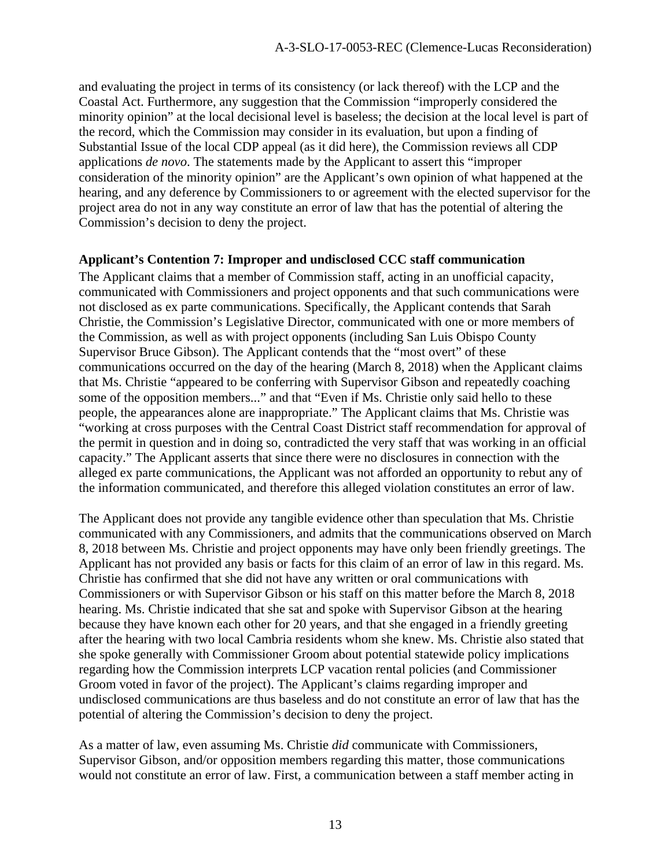and evaluating the project in terms of its consistency (or lack thereof) with the LCP and the Coastal Act. Furthermore, any suggestion that the Commission "improperly considered the minority opinion" at the local decisional level is baseless; the decision at the local level is part of the record, which the Commission may consider in its evaluation, but upon a finding of Substantial Issue of the local CDP appeal (as it did here), the Commission reviews all CDP applications *de novo*. The statements made by the Applicant to assert this "improper consideration of the minority opinion" are the Applicant's own opinion of what happened at the hearing, and any deference by Commissioners to or agreement with the elected supervisor for the project area do not in any way constitute an error of law that has the potential of altering the Commission's decision to deny the project.

#### **Applicant's Contention 7: Improper and undisclosed CCC staff communication**

The Applicant claims that a member of Commission staff, acting in an unofficial capacity, communicated with Commissioners and project opponents and that such communications were not disclosed as ex parte communications. Specifically, the Applicant contends that Sarah Christie, the Commission's Legislative Director, communicated with one or more members of the Commission, as well as with project opponents (including San Luis Obispo County Supervisor Bruce Gibson). The Applicant contends that the "most overt" of these communications occurred on the day of the hearing (March 8, 2018) when the Applicant claims that Ms. Christie "appeared to be conferring with Supervisor Gibson and repeatedly coaching some of the opposition members..." and that "Even if Ms. Christie only said hello to these people, the appearances alone are inappropriate." The Applicant claims that Ms. Christie was "working at cross purposes with the Central Coast District staff recommendation for approval of the permit in question and in doing so, contradicted the very staff that was working in an official capacity." The Applicant asserts that since there were no disclosures in connection with the alleged ex parte communications, the Applicant was not afforded an opportunity to rebut any of the information communicated, and therefore this alleged violation constitutes an error of law.

The Applicant does not provide any tangible evidence other than speculation that Ms. Christie communicated with any Commissioners, and admits that the communications observed on March 8, 2018 between Ms. Christie and project opponents may have only been friendly greetings. The Applicant has not provided any basis or facts for this claim of an error of law in this regard. Ms. Christie has confirmed that she did not have any written or oral communications with Commissioners or with Supervisor Gibson or his staff on this matter before the March 8, 2018 hearing. Ms. Christie indicated that she sat and spoke with Supervisor Gibson at the hearing because they have known each other for 20 years, and that she engaged in a friendly greeting after the hearing with two local Cambria residents whom she knew. Ms. Christie also stated that she spoke generally with Commissioner Groom about potential statewide policy implications regarding how the Commission interprets LCP vacation rental policies (and Commissioner Groom voted in favor of the project). The Applicant's claims regarding improper and undisclosed communications are thus baseless and do not constitute an error of law that has the potential of altering the Commission's decision to deny the project.

As a matter of law, even assuming Ms. Christie *did* communicate with Commissioners, Supervisor Gibson, and/or opposition members regarding this matter, those communications would not constitute an error of law. First, a communication between a staff member acting in